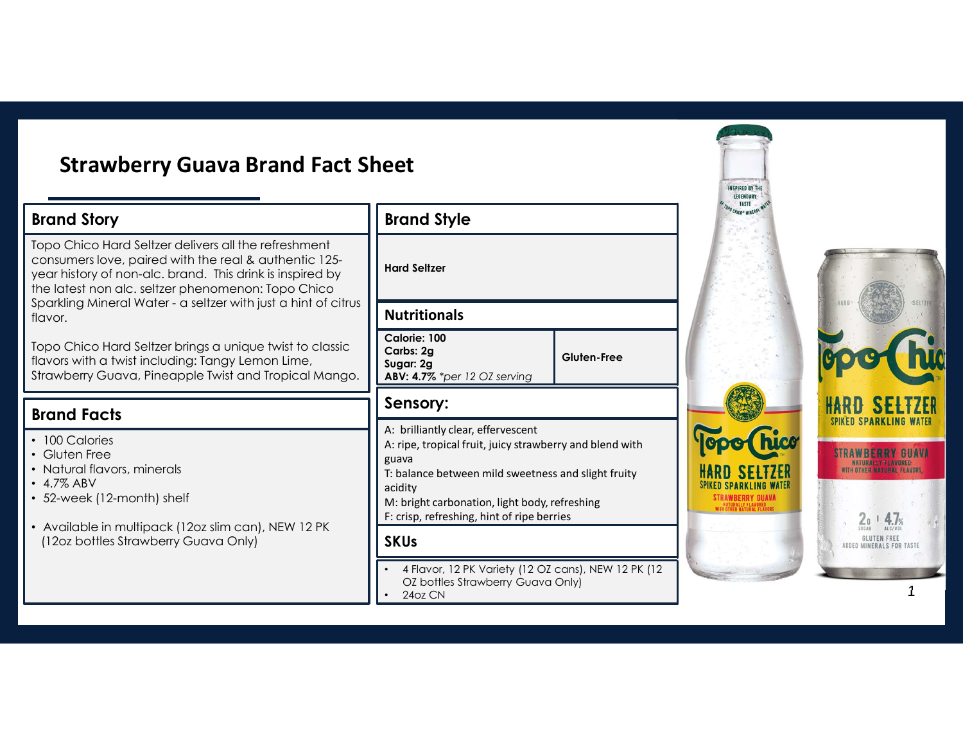## Strawberry Guava Brand Fact Sheet

### Brand Story

Topo Chico Hard Seltzer delivers all the refreshment consumers love, paired with the real & authentic 125 year history of non-alc. brand. This drink is inspired by the latest non alc. seltzer phenomenon: Topo Chico Strawberry Guava Brand Fact Sheet<br>
Brand Story<br>
Topo Chico Hard Seltzer delivers all the refreshment<br>
consumers love, paired with the real & authentic 125-<br>
year history of non-alc. brand. This drink is inspired by<br>
Sparkl flavor. Strawberry Guava Brand Fact Sheet<br>Brand Story<br>Top Chico Hard Setzer delivers different ensing and Style<br>Consumers love, poired with the read & authentic 125-<br>year history of non-alc. brand. This dink is inspired by<br>Sparkli

Topo Chico Hard Seltzer brings a unique twist to classic Strawberry Guava, Pineapple Twist and Tropical Mango.

### Brand Facts

- 100 Calories
- Gluten Free
- Natural flavors, minerals
- 4.7% ABV
- 52-week (12-month) shelf
- Available in multipack (12oz slim can), NEW 12 PK (12oz bottles Strawberry Guava Only)

Hard Seltzer

#### Nutritionals

| Calorie: 100<br>$\vert$ Carbs: 2g<br>Sugar: 2g<br>$\blacksquare$ ABV: 4.7% *per 12 OZ serving | Gluten-Free |  |
|-----------------------------------------------------------------------------------------------|-------------|--|
|-----------------------------------------------------------------------------------------------|-------------|--|

### Sensory:

A: ripe, tropical fruit, juicy strawberry and blend with guava

T: balance between mild sweetness and slight fruity **The MARD SELTZER**<br>acidity **SPIKED SPARKLING WATER** acidity

M: bright carbonation, light body, refreshing F: crisp, refreshing, hint of ripe berries

#### **SKUs**

- 4 Flavor, 12 PK Variety (12 OZ cans), NEW 12 PK (12 OZ bottles Strawberry Guava Only)
- 24oz CN

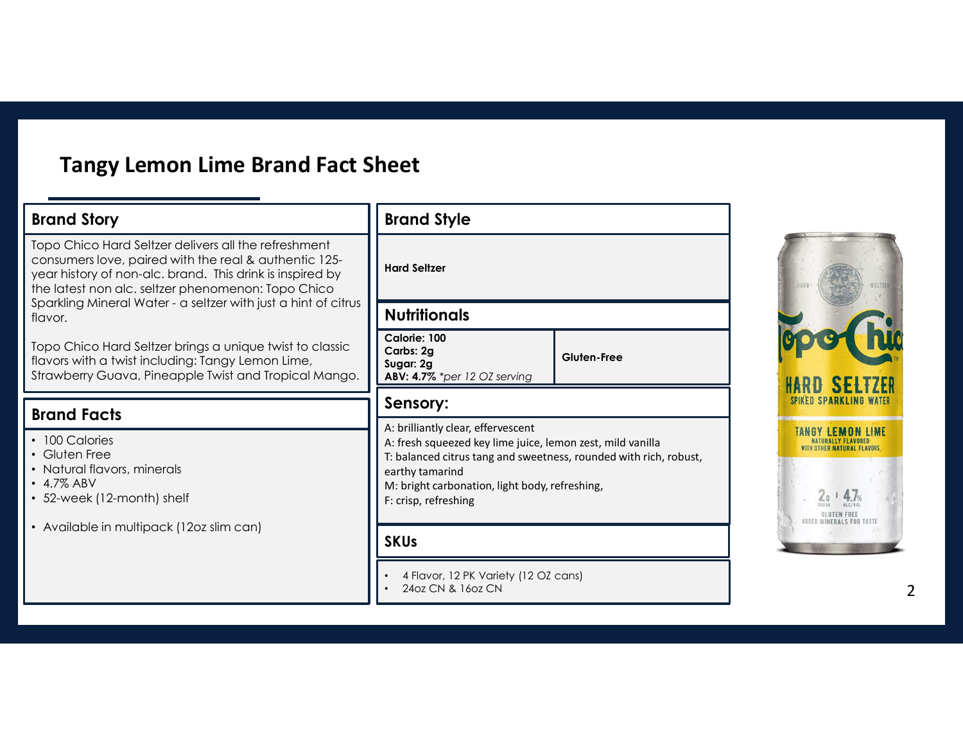## Tangy Lemon Lime Brand Fact Sheet

| <b>Tangy Lemon Lime Brand Fact Sheet</b>                                                                                                                                                                                         |                                                                                                                                                                                                                                                                                   |             |
|----------------------------------------------------------------------------------------------------------------------------------------------------------------------------------------------------------------------------------|-----------------------------------------------------------------------------------------------------------------------------------------------------------------------------------------------------------------------------------------------------------------------------------|-------------|
| <b>Brand Story</b>                                                                                                                                                                                                               | <b>Brand Style</b>                                                                                                                                                                                                                                                                |             |
| Topo Chico Hard Seltzer delivers all the refreshment<br>consumers love, paired with the real & authentic 125-<br>year history of non-alc. brand. This drink is inspired by<br>the latest non alc. seltzer phenomenon: Topo Chico | <b>Hard Seltzer</b><br><b>Nutritionals</b>                                                                                                                                                                                                                                        |             |
| Sparkling Mineral Water - a seltzer with just a hint of citrus<br>flavor.                                                                                                                                                        |                                                                                                                                                                                                                                                                                   |             |
| Topo Chico Hard Seltzer brings a unique twist to classic<br>flavors with a twist including: Tangy Lemon Lime,<br>Strawberry Guava, Pineapple Twist and Tropical Mango.                                                           | Calorie: 100<br>Carbs: 2g<br>Sugar: 2g<br>ABV: 4.7% *per 12 OZ serving                                                                                                                                                                                                            | Gluten-Free |
| <b>Brand Facts</b>                                                                                                                                                                                                               | Sensory:                                                                                                                                                                                                                                                                          |             |
| • 100 Calories<br>• Gluten Free<br>• Natural flavors, minerals<br>$\cdot$ 4.7% ABV<br>• 52-week (12-month) shelf                                                                                                                 | A: brilliantly clear, effervescent<br>A: fresh squeezed key lime juice, lemon zest, mild vanilla<br>T: balanced citrus tang and sweetness, rounded with rich, robust,<br>earthy tamarind<br>M: bright carbonation, light body, refreshing,<br>F: crisp, refreshing<br><b>SKUs</b> |             |
| • Available in multipack (12oz slim can)                                                                                                                                                                                         |                                                                                                                                                                                                                                                                                   |             |
|                                                                                                                                                                                                                                  | 4 Flavor, 12 PK Variety (12 OZ cans)<br>24oz CN & 16oz CN                                                                                                                                                                                                                         |             |

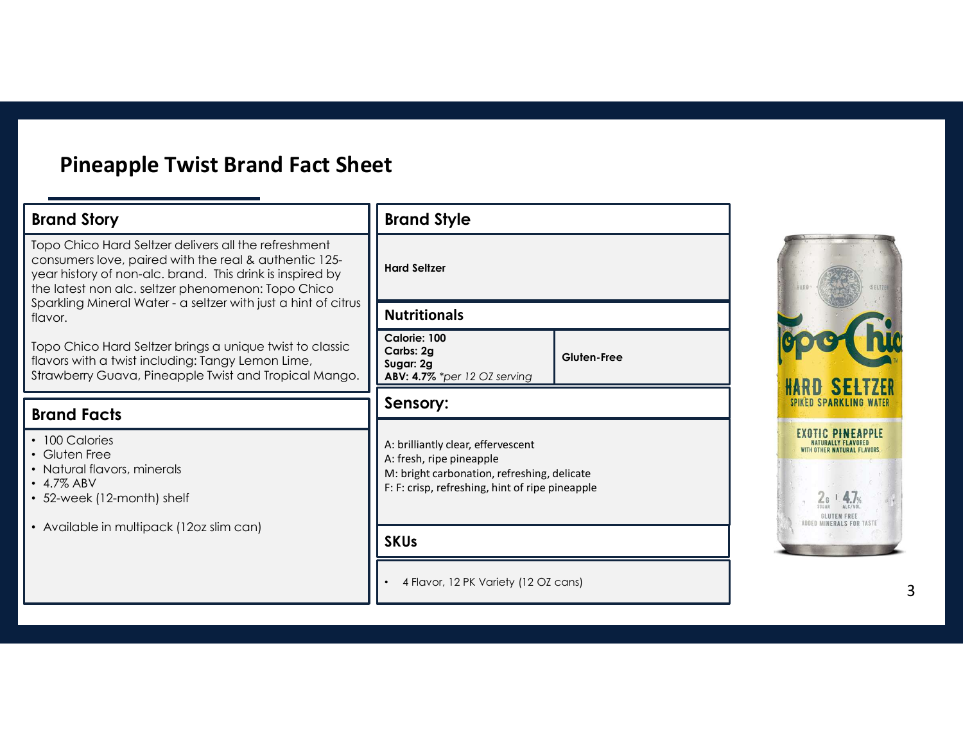# Pineapple Twist Brand Fact Sheet

| <b>Pineapple Twist Brand Fact Sheet</b>                                                                                                                                                                                          |                                                                                                                                                                  |                    |                                                                                                     |
|----------------------------------------------------------------------------------------------------------------------------------------------------------------------------------------------------------------------------------|------------------------------------------------------------------------------------------------------------------------------------------------------------------|--------------------|-----------------------------------------------------------------------------------------------------|
| <b>Brand Story</b>                                                                                                                                                                                                               | <b>Brand Style</b>                                                                                                                                               |                    |                                                                                                     |
| Topo Chico Hard Seltzer delivers all the refreshment<br>consumers love, paired with the real & authentic 125-<br>year history of non-alc. brand. This drink is inspired by<br>the latest non alc. seltzer phenomenon: Topo Chico | <b>Hard Seltzer</b><br><b>Nutritionals</b>                                                                                                                       |                    |                                                                                                     |
| Sparkling Mineral Water - a seltzer with just a hint of citrus<br>flavor.                                                                                                                                                        |                                                                                                                                                                  |                    |                                                                                                     |
| Topo Chico Hard Seltzer brings a unique twist to classic<br>flavors with a twist including: Tangy Lemon Lime,<br>Strawberry Guava, Pineapple Twist and Tropical Mango.                                                           | Calorie: 100<br>Carbs: 2g<br>Sugar: 2g<br>ABV: 4.7% *per 12 OZ serving                                                                                           | <b>Gluten-Free</b> |                                                                                                     |
| <b>Brand Facts</b>                                                                                                                                                                                                               | Sensory:                                                                                                                                                         |                    |                                                                                                     |
| • 100 Calories<br>• Gluten Free<br>• Natural flavors, minerals<br>• 4.7% ABV<br>• 52-week (12-month) shelf                                                                                                                       | A: brilliantly clear, effervescent<br>A: fresh, ripe pineapple<br>M: bright carbonation, refreshing, delicate<br>F: F: crisp, refreshing, hint of ripe pineapple |                    | <b>EXOTIC PINEAPPLE</b><br>NATURALLY FLAVORED<br><b>OTHER NATURAL FLAVORS</b><br><b>GLUTEN FREE</b> |
| • Available in multipack (12oz slim can)                                                                                                                                                                                         | <b>SKUs</b>                                                                                                                                                      |                    | ADDED MINERALS FOR TASTE                                                                            |
|                                                                                                                                                                                                                                  | 4 Flavor, 12 PK Variety (12 OZ cans)                                                                                                                             |                    |                                                                                                     |

**SELTZER PARKLING WATER** 

3 |